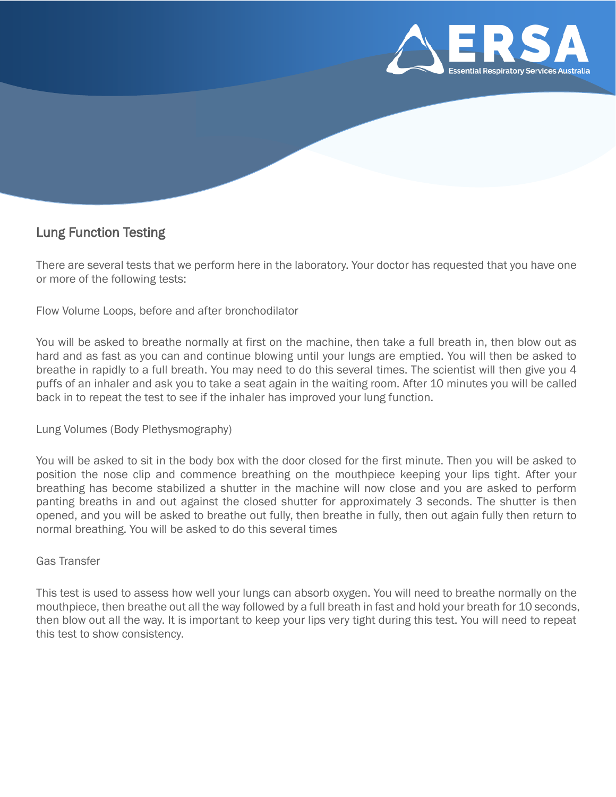

# Lung Function Testing

There are several tests that we perform here in the laboratory. Your doctor has requested that you have one or more of the following tests:

Flow Volume Loops, before and after bronchodilator

You will be asked to breathe normally at first on the machine, then take a full breath in, then blow out as hard and as fast as you can and continue blowing until your lungs are emptied. You will then be asked to breathe in rapidly to a full breath. You may need to do this several times. The scientist will then give you 4 puffs of an inhaler and ask you to take a seat again in the waiting room. After 10 minutes you will be called back in to repeat the test to see if the inhaler has improved your lung function.

Lung Volumes (Body Plethysmography)

You will be asked to sit in the body box with the door closed for the first minute. Then you will be asked to position the nose clip and commence breathing on the mouthpiece keeping your lips tight. After your breathing has become stabilized a shutter in the machine will now close and you are asked to perform panting breaths in and out against the closed shutter for approximately 3 seconds. The shutter is then opened, and you will be asked to breathe out fully, then breathe in fully, then out again fully then return to normal breathing. You will be asked to do this several times

### Gas Transfer

This test is used to assess how well your lungs can absorb oxygen. You will need to breathe normally on the mouthpiece, then breathe out all the way followed by a full breath in fast and hold your breath for 10 seconds, then blow out all the way. It is important to keep your lips very tight during this test. You will need to repeat this test to show consistency.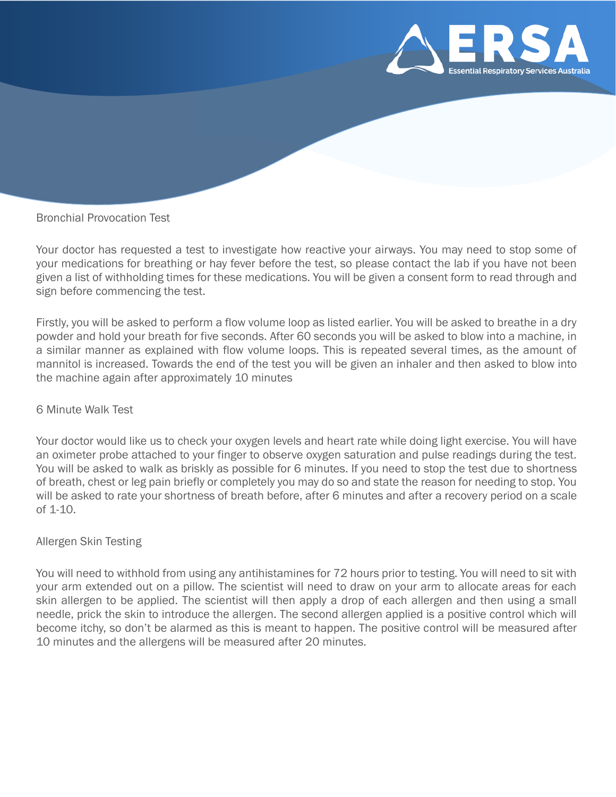

## Bronchial Provocation Test

Your doctor has requested a test to investigate how reactive your airways. You may need to stop some of your medications for breathing or hay fever before the test, so please contact the lab if you have not been given a list of withholding times for these medications. You will be given a consent form to read through and sign before commencing the test.

Firstly, you will be asked to perform a flow volume loop as listed earlier. You will be asked to breathe in a dry powder and hold your breath for five seconds. After 60 seconds you will be asked to blow into a machine, in a similar manner as explained with flow volume loops. This is repeated several times, as the amount of mannitol is increased. Towards the end of the test you will be given an inhaler and then asked to blow into the machine again after approximately 10 minutes

### 6 Minute Walk Test

Your doctor would like us to check your oxygen levels and heart rate while doing light exercise. You will have an oximeter probe attached to your finger to observe oxygen saturation and pulse readings during the test. You will be asked to walk as briskly as possible for 6 minutes. If you need to stop the test due to shortness of breath, chest or leg pain briefly or completely you may do so and state the reason for needing to stop. You will be asked to rate your shortness of breath before, after 6 minutes and after a recovery period on a scale of 1-10.

#### Allergen Skin Testing

You will need to withhold from using any antihistamines for 72 hours prior to testing. You will need to sit with your arm extended out on a pillow. The scientist will need to draw on your arm to allocate areas for each skin allergen to be applied. The scientist will then apply a drop of each allergen and then using a small needle, prick the skin to introduce the allergen. The second allergen applied is a positive control which will become itchy, so don't be alarmed as this is meant to happen. The positive control will be measured after 10 minutes and the allergens will be measured after 20 minutes.